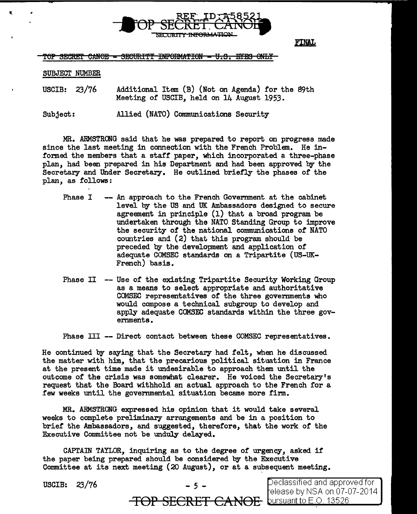

FINAL

TOP SECRET CANOE - SECURITY INFORMATION - U.S. EYES ONLY

SUBJECT NUMBER

USCIB: 23/76 Additional Item (B) (Not on Agenda) for the 89th Meeting of USCIB, held on 14 August 1953.

Subject: Allied (NATO) Communications Security

MR. ARMSTRONG said that he was prepared to report on progress made since the last meeting in connection with the French Problem. He informed the members that a staff paper, which incorporated a three-phase plan, had been prepared in his Department and had been approved by the Secretary and Under Secretary. He outlined briefly the phases of the plan, as follows:

- Phase I -- *An* approach to the French Government at the cabinet level by the US and UK Ambassadors designed to secure agreement in principle (1) that a broad program be undertaken through the NATO Standing Group to improve the security of the national communications *of* NATO countries and (2) that this program should be preceded by the development and application of adequate COMSEC standards on a Tripartite (US-UK-French) basis.
- Phase II -- Use of the existing Tripartite Security Working Group as a means to select appropriate and authoritative COMSEC representatives of the three governments who would compose a technical subgroup to develop and apply adequate COMSEC standards within the three governments.

Phase III -- Direct contact between these COMSEC representatives.

He continued by saying that the Secretary had felt, when he discussed the matter with him, that the precarious political situation in France at the present time made it undesirable to approach them until the outcome of the crisis was somewhat clearer. He voiced the Secretary's request that the Board withhold an actual approach to the French for a few weeks until the governmental situation became more firm.

MR. ARMSTRONG expressed his opinion that it would take several weeks to complete preliminary arrangements and be in a position to brief the Ambassadors, and suggested, therefore, that the work of the Executive Committee not be unduly delayed.

CAPTAIN TAYLOR, inquiring as to the degree of urgency, asked if the paper being prepared should be considered by the Executive Committee at its next meeting  $(20 \text{ August})$ , or at a subsequent meeting.

| USCIB: $23/76$ | $-5 -$                                         | Declassified and approved for<br>Felease by NSA on 07-07-2014 |
|----------------|------------------------------------------------|---------------------------------------------------------------|
|                | <b>TOP SECRET CANOE</b> bursuant to E.O. 13526 |                                                               |